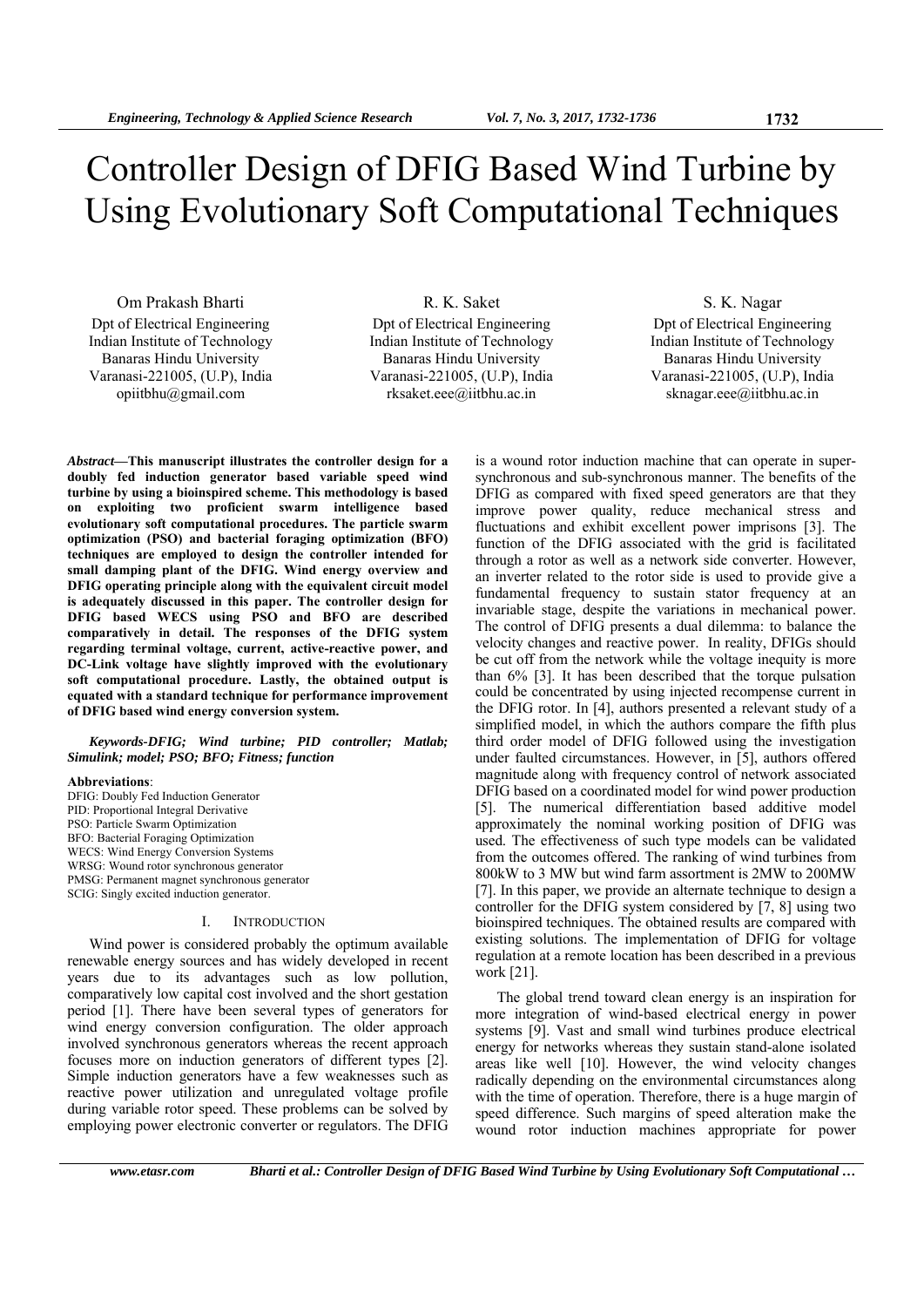# Controller Design of DFIG Based Wind Turbine by Using Evolutionary Soft Computational Techniques

Om Prakash Bharti Dpt of Electrical Engineering Indian Institute of Technology Banaras Hindu University Varanasi-221005, (U.P), India opiitbhu@gmail.com

R. K. Saket Dpt of Electrical Engineering Indian Institute of Technology Banaras Hindu University Varanasi-221005, (U.P), India rksaket.eee@iitbhu.ac.in

# S. K. Nagar Dpt of Electrical Engineering Indian Institute of Technology

Banaras Hindu University Varanasi-221005, (U.P), India sknagar.eee@iitbhu.ac.in

*Abstract***—This manuscript illustrates the controller design for a doubly fed induction generator based variable speed wind turbine by using a bioinspired scheme. This methodology is based on exploiting two proficient swarm intelligence based evolutionary soft computational procedures. The particle swarm optimization (PSO) and bacterial foraging optimization (BFO) techniques are employed to design the controller intended for small damping plant of the DFIG. Wind energy overview and DFIG operating principle along with the equivalent circuit model is adequately discussed in this paper. The controller design for DFIG based WECS using PSO and BFO are described comparatively in detail. The responses of the DFIG system regarding terminal voltage, current, active-reactive power, and DC-Link voltage have slightly improved with the evolutionary soft computational procedure. Lastly, the obtained output is equated with a standard technique for performance improvement of DFIG based wind energy conversion system.** 

#### *Keywords-DFIG; Wind turbine; PID controller; Matlab; Simulink; model; PSO; BFO; Fitness; function*

#### **Abbreviations**:

DFIG: Doubly Fed Induction Generator PID: Proportional Integral Derivative PSO: Particle Swarm Optimization BFO: Bacterial Foraging Optimization WECS: Wind Energy Conversion Systems WRSG: Wound rotor synchronous generator PMSG: Permanent magnet synchronous generator SCIG: Singly excited induction generator.

#### I. INTRODUCTION

Wind power is considered probably the optimum available renewable energy sources and has widely developed in recent years due to its advantages such as low pollution, comparatively low capital cost involved and the short gestation period [1]. There have been several types of generators for wind energy conversion configuration. The older approach involved synchronous generators whereas the recent approach focuses more on induction generators of different types [2]. Simple induction generators have a few weaknesses such as reactive power utilization and unregulated voltage profile during variable rotor speed. These problems can be solved by employing power electronic converter or regulators. The DFIG

synchronous and sub-synchronous manner. The benefits of the DFIG as compared with fixed speed generators are that they improve power quality, reduce mechanical stress and fluctuations and exhibit excellent power imprisons [3]. The function of the DFIG associated with the grid is facilitated through a rotor as well as a network side converter. However, an inverter related to the rotor side is used to provide give a fundamental frequency to sustain stator frequency at an invariable stage, despite the variations in mechanical power. The control of DFIG presents a dual dilemma: to balance the velocity changes and reactive power. In reality, DFIGs should be cut off from the network while the voltage inequity is more than 6% [3]. It has been described that the torque pulsation could be concentrated by using injected recompense current in the DFIG rotor. In [4], authors presented a relevant study of a simplified model, in which the authors compare the fifth plus third order model of DFIG followed using the investigation under faulted circumstances. However, in [5], authors offered magnitude along with frequency control of network associated DFIG based on a coordinated model for wind power production [5]. The numerical differentiation based additive model approximately the nominal working position of DFIG was used. The effectiveness of such type models can be validated from the outcomes offered. The ranking of wind turbines from 800kW to 3 MW but wind farm assortment is 2MW to 200MW [7]. In this paper, we provide an alternate technique to design a controller for the DFIG system considered by [7, 8] using two bioinspired techniques. The obtained results are compared with existing solutions. The implementation of DFIG for voltage regulation at a remote location has been described in a previous work [21].

is a wound rotor induction machine that can operate in super-

The global trend toward clean energy is an inspiration for more integration of wind-based electrical energy in power systems [9]. Vast and small wind turbines produce electrical energy for networks whereas they sustain stand-alone isolated areas like well [10]. However, the wind velocity changes radically depending on the environmental circumstances along with the time of operation. Therefore, there is a huge margin of speed difference. Such margins of speed alteration make the wound rotor induction machines appropriate for power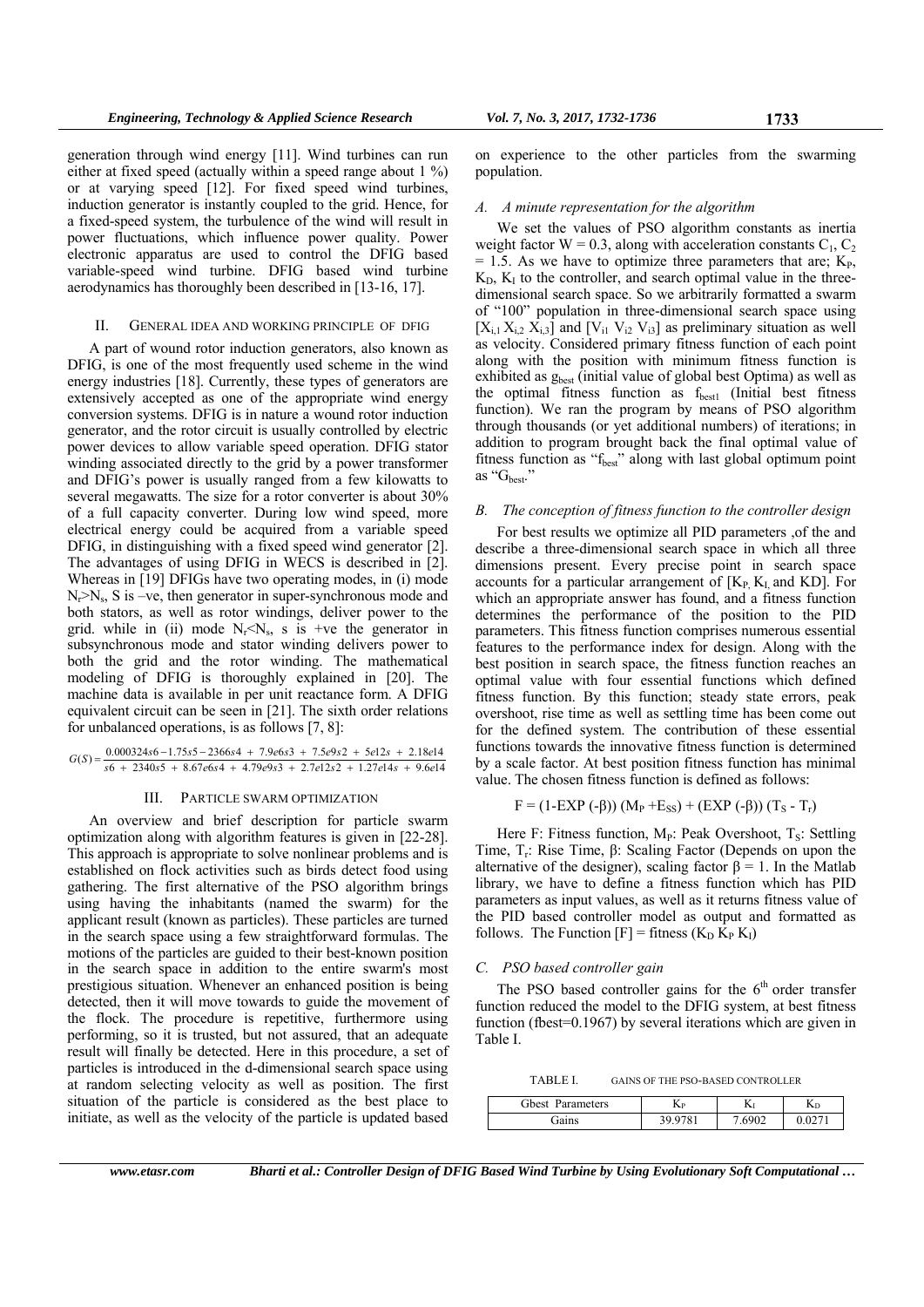generation through wind energy [11]. Wind turbines can run either at fixed speed (actually within a speed range about 1 %) or at varying speed [12]. For fixed speed wind turbines, induction generator is instantly coupled to the grid. Hence, for a fixed-speed system, the turbulence of the wind will result in power fluctuations, which influence power quality. Power electronic apparatus are used to control the DFIG based variable-speed wind turbine. DFIG based wind turbine aerodynamics has thoroughly been described in [13-16, 17].

#### II. GENERAL IDEA AND WORKING PRINCIPLE OF DFIG

A part of wound rotor induction generators, also known as DFIG, is one of the most frequently used scheme in the wind energy industries [18]. Currently, these types of generators are extensively accepted as one of the appropriate wind energy conversion systems. DFIG is in nature a wound rotor induction generator, and the rotor circuit is usually controlled by electric power devices to allow variable speed operation. DFIG stator winding associated directly to the grid by a power transformer and DFIG's power is usually ranged from a few kilowatts to several megawatts. The size for a rotor converter is about 30% of a full capacity converter. During low wind speed, more electrical energy could be acquired from a variable speed DFIG, in distinguishing with a fixed speed wind generator [2]. The advantages of using DFIG in WECS is described in [2]. Whereas in [19] DFIGs have two operating modes, in (i) mode  $N_r>N_s$ , S is –ve, then generator in super-synchronous mode and both stators, as well as rotor windings, deliver power to the grid. while in (ii) mode  $N_r < N_s$ , s is +ve the generator in subsynchronous mode and stator winding delivers power to both the grid and the rotor winding. The mathematical modeling of DFIG is thoroughly explained in [20]. The machine data is available in per unit reactance form. A DFIG equivalent circuit can be seen in [21]. The sixth order relations for unbalanced operations, is as follows [7, 8]:

$$
G(S) = \frac{0.000324s6 - 1.75s5 - 2366s4 + 7.9e6s3 + 7.5e9s2 + 5e12s + 2.18e14}{s6 + 2340s5 + 8.67e6s4 + 4.79e9s3 + 2.7e12s2 + 1.27e14s + 9.6e14}
$$

#### III. PARTICLE SWARM OPTIMIZATION

An overview and brief description for particle swarm optimization along with algorithm features is given in [22-28]. This approach is appropriate to solve nonlinear problems and is established on flock activities such as birds detect food using gathering. The first alternative of the PSO algorithm brings using having the inhabitants (named the swarm) for the applicant result (known as particles). These particles are turned in the search space using a few straightforward formulas. The motions of the particles are guided to their best-known position in the search space in addition to the entire swarm's most prestigious situation. Whenever an enhanced position is being detected, then it will move towards to guide the movement of the flock. The procedure is repetitive, furthermore using performing, so it is trusted, but not assured, that an adequate result will finally be detected. Here in this procedure, a set of particles is introduced in the d-dimensional search space using at random selecting velocity as well as position. The first situation of the particle is considered as the best place to initiate, as well as the velocity of the particle is updated based

on experience to the other particles from the swarming population.

#### *A. A minute representation for the algorithm*

We set the values of PSO algorithm constants as inertia weight factor  $W = 0.3$ , along with acceleration constants  $C_1, C_2$  $= 1.5$ . As we have to optimize three parameters that are;  $K_{P}$ ,  $K_D$ ,  $K_I$  to the controller, and search optimal value in the threedimensional search space. So we arbitrarily formatted a swarm of "100" population in three-dimensional search space using  $[X_{i,1} X_{i,2} X_{i,3}]$  and  $[V_{i1} V_{i2} V_{i3}]$  as preliminary situation as well as velocity. Considered primary fitness function of each point along with the position with minimum fitness function is exhibited as gbest (initial value of global best Optima) as well as the optimal fitness function as  $f_{best1}$  (Initial best fitness function). We ran the program by means of PSO algorithm through thousands (or yet additional numbers) of iterations; in addition to program brought back the final optimal value of fitness function as "f<sub>best</sub>" along with last global optimum point as " $G_{best}$ "

#### *B. The conception of fitness function to the controller design*

For best results we optimize all PID parameters ,of the and describe a three-dimensional search space in which all three dimensions present. Every precise point in search space accounts for a particular arrangement of  $[K_{P}$ ,  $K_{I}$ , and KD]. For which an appropriate answer has found, and a fitness function determines the performance of the position to the PID parameters. This fitness function comprises numerous essential features to the performance index for design. Along with the best position in search space, the fitness function reaches an optimal value with four essential functions which defined fitness function. By this function; steady state errors, peak overshoot, rise time as well as settling time has been come out for the defined system. The contribution of these essential functions towards the innovative fitness function is determined by a scale factor. At best position fitness function has minimal value. The chosen fitness function is defined as follows:

$$
F = (1 - EXP(-\beta)) (M_P + E_{SS}) + (EXP(-\beta)) (T_S - T_r)
$$

Here F: Fitness function,  $M_P$ : Peak Overshoot, T<sub>S</sub>: Settling Time, T<sub>r</sub>: Rise Time, β: Scaling Factor (Depends on upon the alternative of the designer), scaling factor  $\beta = 1$ . In the Matlab library, we have to define a fitness function which has PID parameters as input values, as well as it returns fitness value of the PID based controller model as output and formatted as follows. The Function  $[F]$  = fitness  $(K_D K_P K_I)$ 

#### *C. PSO based controller gain*

The PSO based controller gains for the  $6<sup>th</sup>$  order transfer function reduced the model to the DFIG system, at best fitness function (fbest=0.1967) by several iterations which are given in Table I.

TABLE I. GAINS OF THE PSO-BASED CONTROLLER

| <b>Gbest</b> Parameters | $\mathbf{L}$ | נצנ   |  |
|-------------------------|--------------|-------|--|
| Gains                   | 39.9781      | -6900 |  |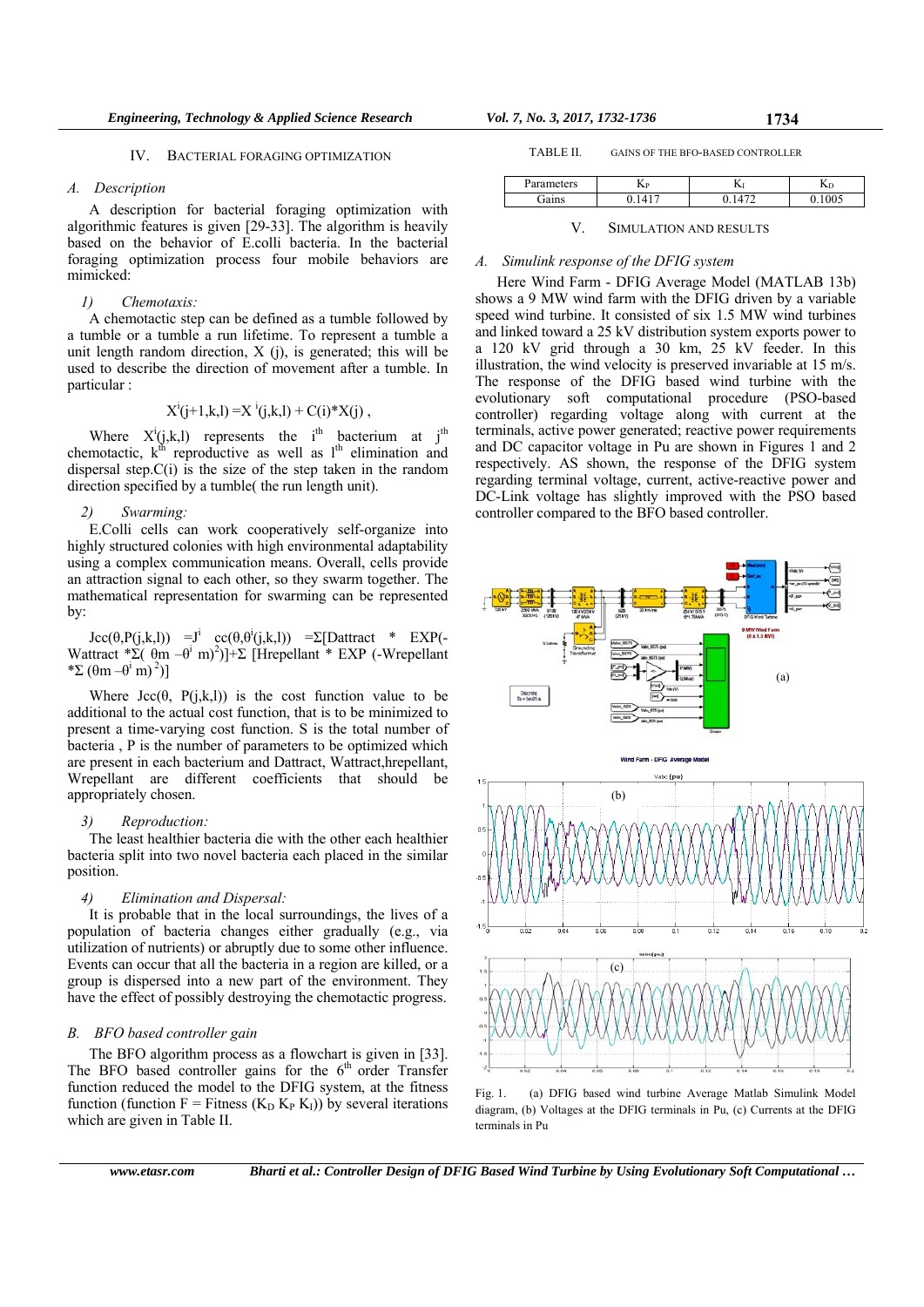## IV. BACTERIAL FORAGING OPTIMIZATION

## *A. Description*

A description for bacterial foraging optimization with algorithmic features is given [29-33]. The algorithm is heavily based on the behavior of E.colli bacteria. In the bacterial foraging optimization process four mobile behaviors are mimicked:

# *1) Chemotaxis:*

A chemotactic step can be defined as a tumble followed by a tumble or a tumble a run lifetime. To represent a tumble a unit length random direction,  $X$  (j), is generated; this will be used to describe the direction of movement after a tumble. In particular :

$$
X^{i}(j+1,k,l) = X^{i}(j,k,l) + C(i)^*X(j) ,
$$

Where  $X^i(j,k,l)$  represents the i<sup>th</sup> bacterium at j<sup>th</sup> chemotactic,  $k^{\text{th}}$  reproductive as well as  $1^{\text{th}}$  elimination and dispersal step. $C(i)$  is the size of the step taken in the random direction specified by a tumble( the run length unit).

# *2) Swarming:*

E.Colli cells can work cooperatively self-organize into highly structured colonies with high environmental adaptability using a complex communication means. Overall, cells provide an attraction signal to each other, so they swarm together. The mathematical representation for swarming can be represented by:

Jcc(θ,P(j,k,l)) =J<sup>i</sup> cc(θ,θ<sup>i</sup>(j,k,l)) =Σ[Dattract \* EXP(-Wattract \*Σ( $\theta$ m -θ<sup>i</sup> m)<sup>2</sup>)]+Σ [Hrepellant \* EXP (-Wrepellant \*Σ  $(\theta m - \theta^i m)^2$ ]

Where  $\text{Jcc}(\theta, P(j,k,l))$  is the cost function value to be additional to the actual cost function, that is to be minimized to present a time-varying cost function. S is the total number of bacteria , P is the number of parameters to be optimized which are present in each bacterium and Dattract, Wattract,hrepellant, Wrepellant are different coefficients that should be appropriately chosen.

# *3) Reproduction:*

The least healthier bacteria die with the other each healthier bacteria split into two novel bacteria each placed in the similar position.

# *4) Elimination and Dispersal:*

It is probable that in the local surroundings, the lives of a population of bacteria changes either gradually (e.g., via utilization of nutrients) or abruptly due to some other influence. Events can occur that all the bacteria in a region are killed, or a group is dispersed into a new part of the environment. They have the effect of possibly destroying the chemotactic progress.

# *B. BFO based controller gain*

The BFO algorithm process as a flowchart is given in [33]. The BFO based controller gains for the  $6<sup>th</sup>$  order Transfer function reduced the model to the DFIG system, at the fitness function (function F = Fitness ( $K<sub>D</sub> K<sub>P</sub> K<sub>I</sub>$ )) by several iterations which are given in Table II.

TABLE II. GAINS OF THE BFO-BASED CONTROLLER

| Parameters | $\mathbf{L}_{\mathrm{P}}$ | 17            | ΛD   |
|------------|---------------------------|---------------|------|
| Gains      |                           | $.47^{\circ}$ | 1005 |
|            |                           |               |      |

# V. SIMULATION AND RESULTS

# *A. Simulink response of the DFIG system*

Here Wind Farm - DFIG Average Model (MATLAB 13b) shows a 9 MW wind farm with the DFIG driven by a variable speed wind turbine. It consisted of six 1.5 MW wind turbines and linked toward a 25 kV distribution system exports power to a 120 kV grid through a 30 km, 25 kV feeder. In this illustration, the wind velocity is preserved invariable at 15 m/s. The response of the DFIG based wind turbine with the evolutionary soft computational procedure (PSO-based controller) regarding voltage along with current at the terminals, active power generated; reactive power requirements and DC capacitor voltage in Pu are shown in Figures 1 and 2 respectively. AS shown, the response of the DFIG system regarding terminal voltage, current, active-reactive power and DC-Link voltage has slightly improved with the PSO based controller compared to the BFO based controller.



Fig. 1. (a) DFIG based wind turbine Average Matlab Simulink Model diagram, (b) Voltages at the DFIG terminals in Pu, (c) Currents at the DFIG terminals in Pu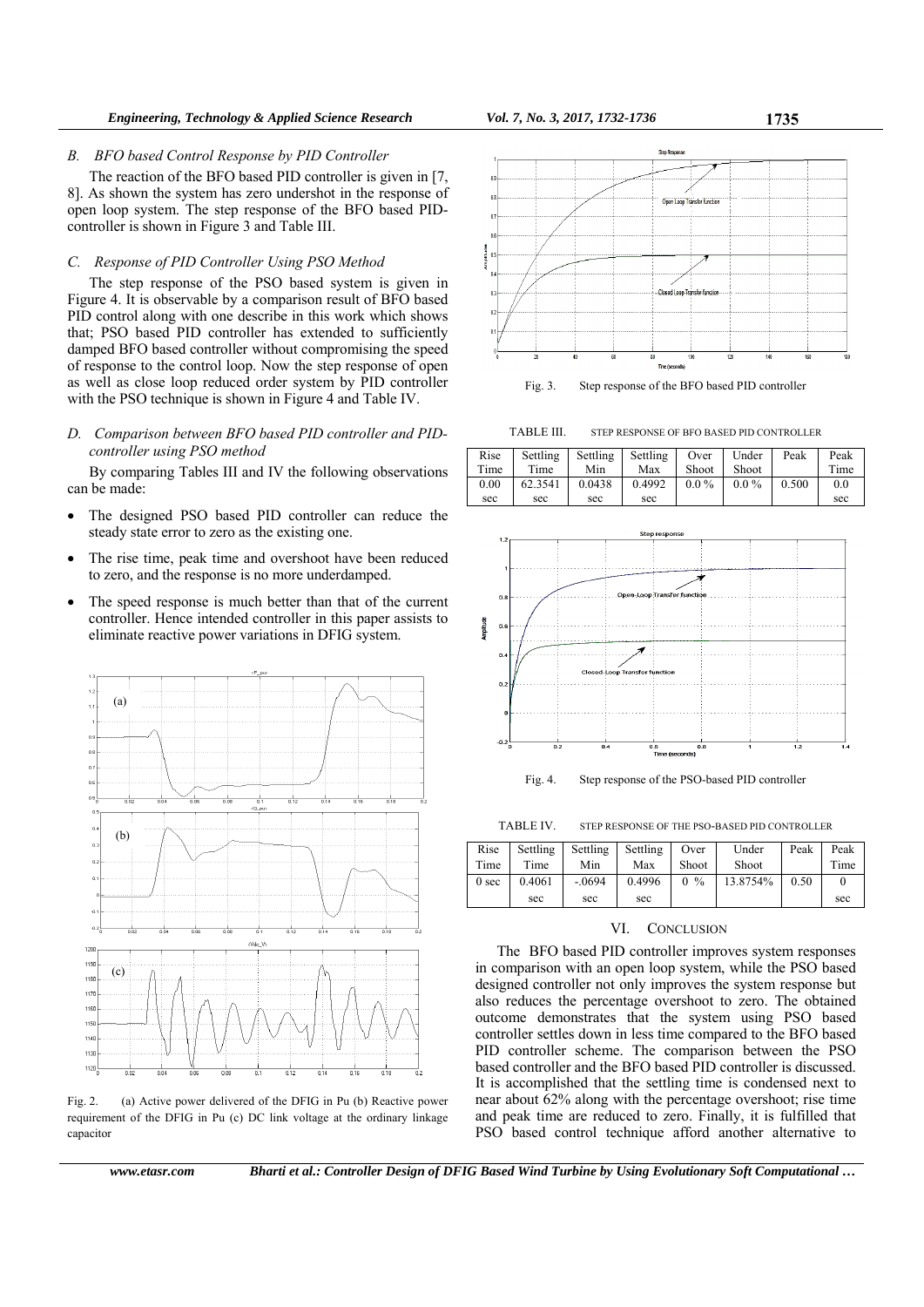#### *B. BFO based Control Response by PID Controller*

The reaction of the BFO based PID controller is given in [7, 8]. As shown the system has zero undershot in the response of open loop system. The step response of the BFO based PIDcontroller is shown in Figure 3 and Table III.

# *C. Response of PID Controller Using PSO Method*

The step response of the PSO based system is given in Figure 4. It is observable by a comparison result of BFO based PID control along with one describe in this work which shows that; PSO based PID controller has extended to sufficiently damped BFO based controller without compromising the speed of response to the control loop. Now the step response of open as well as close loop reduced order system by PID controller with the PSO technique is shown in Figure 4 and Table IV.

*D. Comparison between BFO based PID controller and PIDcontroller using PSO method* 

By comparing Tables III and IV the following observations can be made:

- The designed PSO based PID controller can reduce the steady state error to zero as the existing one.
- The rise time, peak time and overshoot have been reduced to zero, and the response is no more underdamped.
- The speed response is much better than that of the current controller. Hence intended controller in this paper assists to eliminate reactive power variations in DFIG system.



Fig. 2. (a) Active power delivered of the DFIG in Pu (b) Reactive power requirement of the DFIG in Pu (c) DC link voltage at the ordinary linkage capacitor

*www.etasr.com Bharti et al.: Controller Design of DFIG Based Wind Turbine by Using Evolutionary Soft Computational …* 



Fig. 3. Step response of the BFO based PID controller

TABLE III. STEP RESPONSE OF BFO BASED PID CONTROLLER





Fig. 4. Step response of the PSO-based PID controller

TABLE IV. STEP RESPONSE OF THE PSO-BASED PID CONTROLLER

| Rise             | Settling | Settling | Settling | Over  | Under    | Peak | Peak |
|------------------|----------|----------|----------|-------|----------|------|------|
| Time             | Time     | Min      | Max      | Shoot | Shoot    |      | Time |
| 0 <sub>sec</sub> | 0.4061   | $-.0694$ | 0.4996   | $0\%$ | 13.8754% | 0.50 |      |
|                  | sec      | sec      | sec      |       |          |      | sec  |

## VI. CONCLUSION

The BFO based PID controller improves system responses in comparison with an open loop system, while the PSO based designed controller not only improves the system response but also reduces the percentage overshoot to zero. The obtained outcome demonstrates that the system using PSO based controller settles down in less time compared to the BFO based PID controller scheme. The comparison between the PSO based controller and the BFO based PID controller is discussed. It is accomplished that the settling time is condensed next to near about 62% along with the percentage overshoot; rise time and peak time are reduced to zero. Finally, it is fulfilled that PSO based control technique afford another alternative to